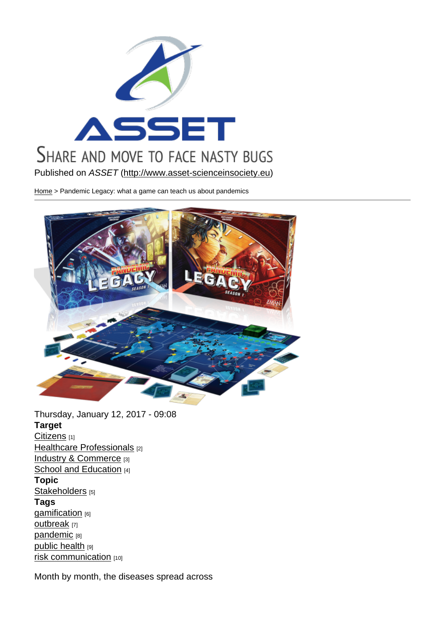Published on ASSET (http://www.asset-scienceinsociety.eu)

Home > Pandemic Legacy: what a game can teach us about pandemics

Thursday, January 12, 2017 - 09:08 Target Citizens [1] Healthcare Professionals [2] Industry & Commerce [3] [School a](http://www.asset-scienceinsociety.eu/target/citizens)nd Education [4] [Topic](http://www.asset-scienceinsociety.eu/target/healthcare-professionals)  [Stakeholders](http://www.asset-scienceinsociety.eu/target/industry-commerce) [5] [Tags](http://www.asset-scienceinsociety.eu/target/school-and-education)  gamification [6] [outbreak](http://www.asset-scienceinsociety.eu/topic/stakeholders) [7] pandemic [8] [public health](http://www.asset-scienceinsociety.eu/tags/gamification) [9] [risk comm](http://www.asset-scienceinsociety.eu/tags/outbreak)unication [10]

[Month by](http://www.asset-scienceinsociety.eu/tags/pandemic) [mo](http://www.asset-scienceinsociety.eu/tags/public-health)nth, the diseases spread across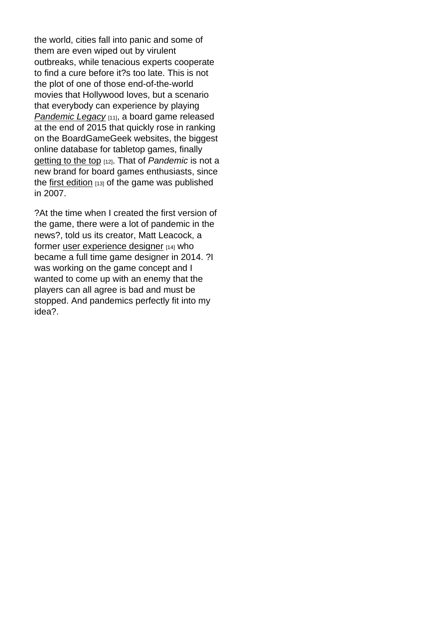the world, cities fall into panic and some of them are even wiped out by virulent outbreaks, while tenacious experts cooperate to find a cure before it?s too late. This is not the plot of one of those end-of-the-world movies that Hollywood loves, but a scenario that everybody can experience by playing Pandemic Legacy [11], a board game released at the end of 2015 that quickly rose in ranking on the BoardGameGeek websites, the biggest [online database fo](https://boardgamegeek.com/boardgame/161936/pandemic-legacy-season-1)r tabletop games, finally getting to the top [12]. That of Pandemic is not a new brand for board games enthusiasts, since the first edition  $[13]$  of the game was published [in 2007.](https://boardgamegeek.com/browse/boardgame)

?At [the time wh](https://en.wikipedia.org/wiki/Pandemic_(board_game))en I created the first version of the game, there were a lot of pandemic in the news?, told us its creator, Matt Leacock, a former user experience designer [14] who became a full time game designer in 2014. ?I was working on the game concept and I wante[d to come up with an enem](https://en.wikipedia.org/wiki/User_experience_design)y that the players can all agree is bad and must be stopped. And pandemics perfectly fit into my idea?.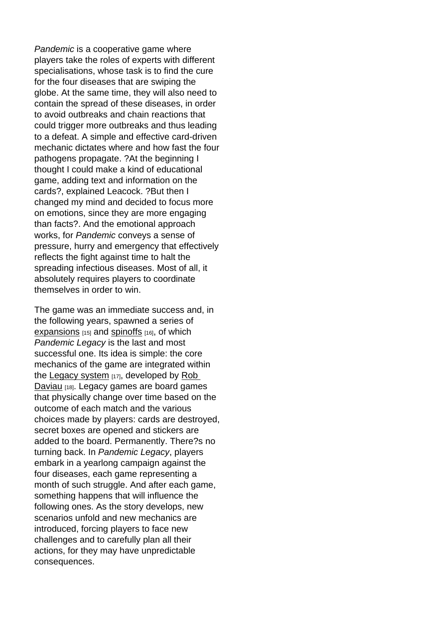Pandemic is a cooperative game where players take the roles of experts with different specialisations, whose task is to find the cure for the four diseases that are swiping the globe. At the same time, they will also need to contain the spread of these diseases, in order to avoid outbreaks and chain reactions that could trigger more outbreaks and thus leading to a defeat. A simple and effective card-driven mechanic dictates where and how fast the four pathogens propagate. ?At the beginning I thought I could make a kind of educational game, adding text and information on the cards?, explained Leacock. ?But then I changed my mind and decided to focus more on emotions, since they are more engaging than facts?. And the emotional approach works, for Pandemic conveys a sense of pressure, hurry and emergency that effectively reflects the fight against time to halt the spreading infectious diseases. Most of all, it absolutely requires players to coordinate themselves in order to win.

The game was an immediate success and, in the following years, spawned a series of expansions  $[15]$  and spinoffs  $[16]$ , of which Pandemic Legacy is the last and most successful one. Its idea is simple: the core [mechanics o](https://en.wikipedia.org/wiki/Pandemic_(board_game)#Expansions)f the g[ame are](https://en.wikipedia.org/wiki/Pandemic_(board_game)#Spinoffs) integrated within the Legacy system [17], developed by Rob Daviau [18]. Legacy games are board games that physically change over time based on the out[come of each m](https://boardgamegeek.com/boardgamefamily/25404/legacy)atch and the vari[ous](http://www.robdaviau.com/)  [choices](http://www.robdaviau.com/) made by players: cards are destroyed, secret boxes are opened and stickers are added to the board. Permanently. There?s no turning back. In Pandemic Legacy, players embark in a yearlong campaign against the four diseases, each game representing a month of such struggle. And after each game, something happens that will influence the following ones. As the story develops, new scenarios unfold and new mechanics are introduced, forcing players to face new challenges and to carefully plan all their actions, for they may have unpredictable consequences.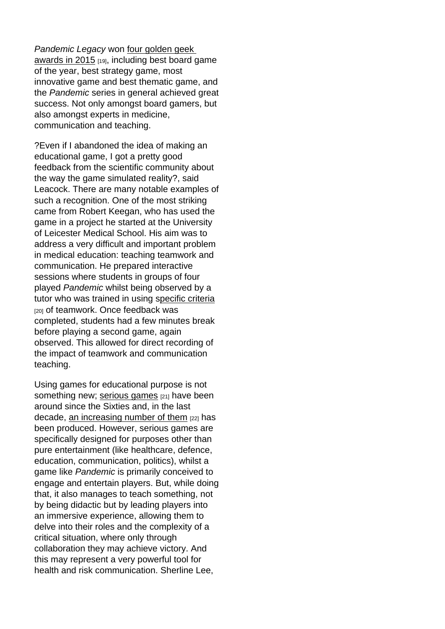Pandemic Legacy won four golden geek awards in 2015 [19], including best board game of the year, best strategy game, most innovative game and b[est thematic game](http://www.polygon.com/2016/3/22/11283932/the-best-board-games-of-2015-board-game-geeks-golden-geek-awards), and [the Pandemic s](http://www.polygon.com/2016/3/22/11283932/the-best-board-games-of-2015-board-game-geeks-golden-geek-awards)eries in general achieved great success. Not only amongst board gamers, but also amongst experts in medicine, communication and teaching.

?Even if I abandoned the idea of making an educational game, I got a pretty good feedback from the scientific community about the way the game simulated reality?, said Leacock. There are many notable examples of such a recognition. One of the most striking came from Robert Keegan, who has used the game in a project he started at the University of Leicester Medical School. His aim was to address a very difficult and important problem in medical education: teaching teamwork and communication. He prepared interactive sessions where students in groups of four played Pandemic whilst being observed by a tutor who was trained in using specific criteria [20] of teamwork. Once feedback was completed, students had a few minutes break before playing a second game, [again](http://onlinelibrary.wiley.com/doi/10.1002/hrm.21628/abstract)  observed. This allowed for direct recording of the impact of teamwork and communication teaching.

Using games for educational purpose is not something new; serious games [21] have been around since the Sixties and, in the last decade, an increasing number of them [22] has been produced. [However, serio](https://en.wikipedia.org/wiki/Serious_game)us games are specifically designed for purposes other than pure ent[ertainment \(like healthcare, de](http://www.ludoscience.com/files/ressources/classifying_serious_games.pdf)fence, education, communication, politics), whilst a game like Pandemic is primarily conceived to engage and entertain players. But, while doing that, it also manages to teach something, not by being didactic but by leading players into an immersive experience, allowing them to delve into their roles and the complexity of a critical situation, where only through collaboration they may achieve victory. And this may represent a very powerful tool for health and risk communication. Sherline Lee,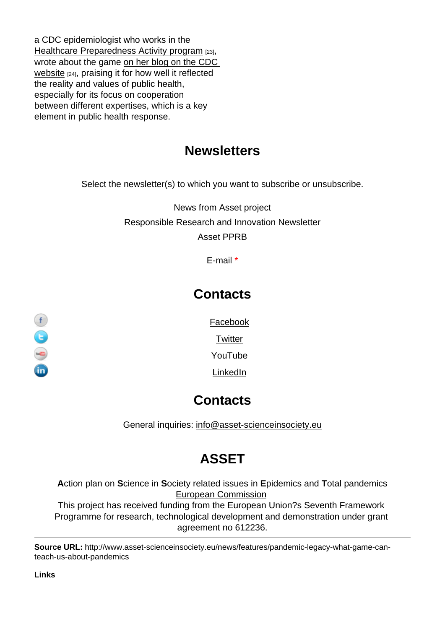a CDC epidemiologist who works in the Healthcare Preparedness Activity program [23], wrote about the game on her blog on the CDC website [24], praising it for how well it reflected [the reality and values of public health,](http://www.cdc.gov/phpr/healthcare)  especially for its focus [on cooperation](https://blogs.cdc.gov/publichealthmatters/2013/05/pandemic/)  [between](https://blogs.cdc.gov/publichealthmatters/2013/05/pandemic/) different expertises, which is a key element in public health response.

## **Newsletters**

Select the newsletter(s) to which you want to subscribe or unsubscribe.

News from Asset project Responsible Research and Innovation Newsletter Asset PPRB

E-mail \*

## **Contacts**

Facebook

**Twitter** 

YouTube

LinkedIn

## **Contacts**

General inquiries: info@asset-scienceinsociety.eu

## [ASSET](mailto:info@asset-scienceinsociety.eu)

Action plan on Science in Society related issues in Epidemics and Total pandemics European Commission This project has received funding from the European Union?s Seventh Framework Programme for research, technological development and demonstration under grant [agreement no 612236.](http://ec.europa.eu/index_en.htm)

Source URL: http://www.asset-scienceinsociety.eu/news/features/pandemic-legacy-what-game-canteach-us-about-pandemics

Links